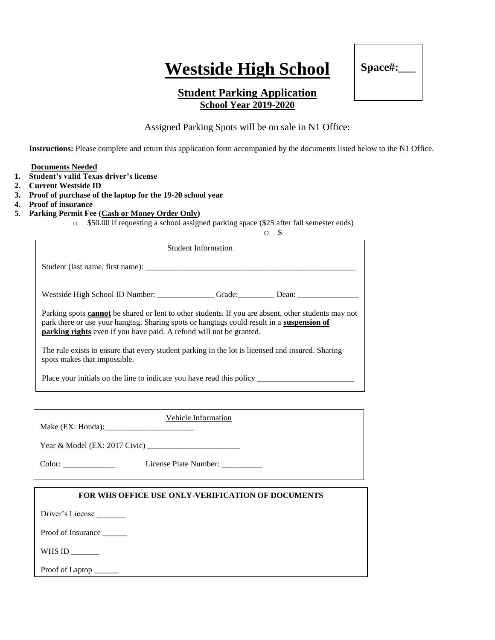# **Westside High School**



## **Student Parking Application School Year 2019-2020**

Assigned Parking Spots will be on sale in N1 Office:

**Instructions:** Please complete and return this application form accompanied by the documents listed below to the N1 Office.

#### **Documents Needed**

- **1. Student's valid Texas driver's license**
- **2. Current Westside ID**
- **3. Proof of purchase of the laptop for the 19-20 school year**
- **4. Proof of insurance**
- **5. Parking Permit Fee (Cash or Money Order Only)**

o \$50.00 if requesting a school assigned parking space (\$25 after fall semester ends)

| <b>Student Information</b>                                                                                                                                                                                                                                                            |  |  |  |
|---------------------------------------------------------------------------------------------------------------------------------------------------------------------------------------------------------------------------------------------------------------------------------------|--|--|--|
|                                                                                                                                                                                                                                                                                       |  |  |  |
| Westside High School ID Number: ________________Grade: __________Dean: __________                                                                                                                                                                                                     |  |  |  |
| Parking spots <b>cannot</b> be shared or lent to other students. If you are absent, other students may not<br>park there or use your hangtag. Sharing spots or hangtags could result in a suspension of<br><b>parking rights</b> even if you have paid. A refund will not be granted. |  |  |  |
| The rule exists to ensure that every student parking in the lot is licensed and insured. Sharing<br>spots makes that impossible.                                                                                                                                                      |  |  |  |
|                                                                                                                                                                                                                                                                                       |  |  |  |

| Vehicle Information   |
|-----------------------|
|                       |
| License Plate Number: |

### **FOR WHS OFFICE USE ONLY-VERIFICATION OF DOCUMENTS**

Driver's License

Proof of Insurance \_\_\_\_\_\_

WHS ID \_\_\_\_\_\_\_

Proof of Laptop